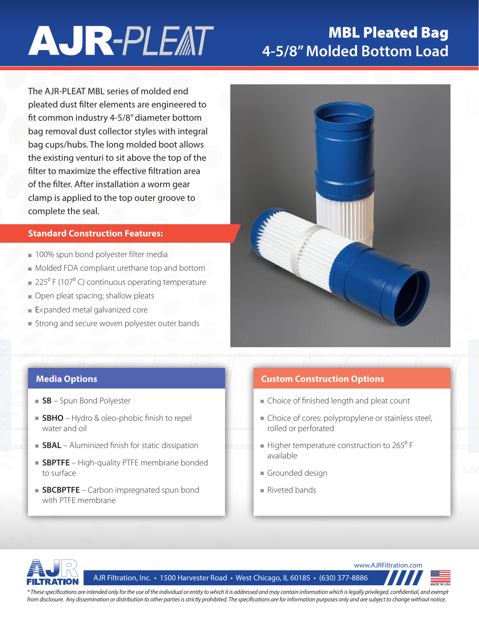# **AJR-PLEAT**

## MBL Pleated Bag **4-5/8" Molded Bottom Load**

The AJR-PLEAT MBL series of molded end pleated dust filter elements are engineered to fit common industry 4-5/8" diameter bottom bag removal dust collector styles with integral bag cups/hubs. The long molded boot allows the existing venturi to sit above the top of the filter to maximize the effective filtration area of the filter. After installation a worm gear clamp is applied to the top outer groove to complete the seal.

### **Standard Construction Features:**

- 100% spun bond polyester filter media
- Molded FDA compliant urethane top and bottom
- $\approx 225^{\circ}$  F (107 $^{\circ}$  C) continuous operating temperature
- Open pleat spacing; shallow pleats
- Expanded metal galvanized core
- Strong and secure woven polyester outer bands



- **SB** Spun Bond Polyester
- **SBHO** Hydro & oleo-phobic finish to repel water and oil
- **SBAL** Aluminized finish for static dissipation
- **SBPTFE** High-quality PTFE membrane bonded to surface
- **SBCBPTFE** Carbon impregnated spun bond with PTFE membrane

### **Media Options Custom Construction Options**

- Choice of finished length and pleat count
- Choice of cores: polypropylene or stainless steel, rolled or perforated
- available  $\blacksquare$  Higher temperature construction to 265 $\rm{^0}$  F
- Grounded design
- Riveted bands



AJR Filtration, Inc. • 1500 Harvester Road • West Chicago, IL 60185 • (630) 377-8886



*\* These specifications are intended only for the use of the individual or entity to which it is addressed and may contain information which is legally privileged, confidential, and exempt from disclosure. Any dissemination or distribution to other parties is strictly prohibited. The specifications are for information purposes only and are subject to change without notice.*